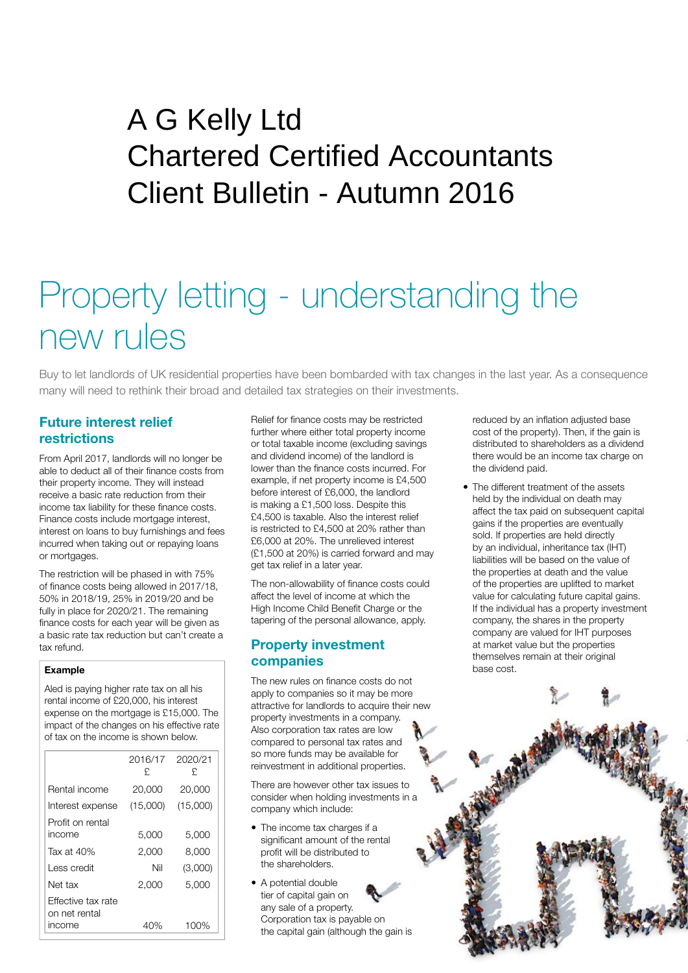## Client Bulletin - Autumn 2016 A G Kelly Ltd Chartered Certified Accountants

# Property letting - understanding the new rules

Buy to let landlords of UK residential properties have been bombarded with tax changes in the last year. As a consequence many will need to rethink their broad and detailed tax strategies on their investments.

## **Future interest relief restrictions**

From April 2017, landlords will no longer be able to deduct all of their finance costs from their property income. They will instead receive a basic rate reduction from their income tax liability for these finance costs. Finance costs include mortgage interest. interest on loans to buy furnishings and fees incurred when taking out or repaying loans or mortgages.

The restriction will be phased in with 75% of finance costs being allowed in 2017/18, 50% in 2018/19, 25% in 2019/20 and be fully in place for 2020/21. The remaining finance costs for each year will be given as a basic rate tax reduction but can't create a tax refund.

#### **Example**

Aled is paying higher rate tax on all his rental income of £20,000, his interest expense on the mortgage is £15,000. The impact of the changes on his effective rate of tax on the income is shown below.

|                                     | 2016/17<br>£ | 2020/21<br>£ |
|-------------------------------------|--------------|--------------|
| Rental income                       | 20,000       | 20,000       |
| Interest expense                    | (15,000)     | (15,000)     |
| Profit on rental<br>income          | 5,000        | 5,000        |
| Tax at $40%$                        | 2,000        | 8,000        |
| Less credit                         | Nil          | (3,000)      |
| Net tax                             | 2,000        | 5,000        |
| Fffective tax rate<br>on net rental |              |              |
| income                              | 40%          | 100%         |

Relief for finance costs may be restricted further where either total property income or total taxable income (excluding savings and dividend income) of the landlord is lower than the finance costs incurred. For example, if net property income is £4,500 before interest of £6,000, the landlord is making a £1,500 loss. Despite this £4,500 is taxable. Also the interest relief is restricted to £4,500 at 20% rather than £6,000 at 20%. The unrelieved interest (£1,500 at 20%) is carried forward and may get tax relief in a later year.

The non-allowability of finance costs could affect the level of income at which the High Income Child Benefit Charge or the tapering of the personal allowance, apply.

### **Property investment companies**

The new rules on finance costs do not apply to companies so it may be more attractive for landlords to acquire their new property investments in a company. Also corporation tax rates are low compared to personal tax rates and so more funds may be available for reinvestment in additional properties.

There are however other tax issues to consider when holding investments in a company which include:

- The income tax charges if a significant amount of the rental profit will be distributed to the shareholders.
- A potential double tier of capital gain on any sale of a property. Corporation tax is payable on the capital gain (although the gain is

reduced by an inflation adjusted base cost of the property). Then, if the gain is distributed to shareholders as a dividend there would be an income tax charge on the dividend paid.

• The different treatment of the assets held by the individual on death may affect the tax paid on subsequent capital gains if the properties are eventually sold. If properties are held directly by an individual, inheritance tax (IHT) liabilities will be based on the value of the properties at death and the value of the properties are uplifted to market value for calculating future capital gains. If the individual has a property investment company, the shares in the property company are valued for IHT purposes at market value but the properties themselves remain at their original base cost.